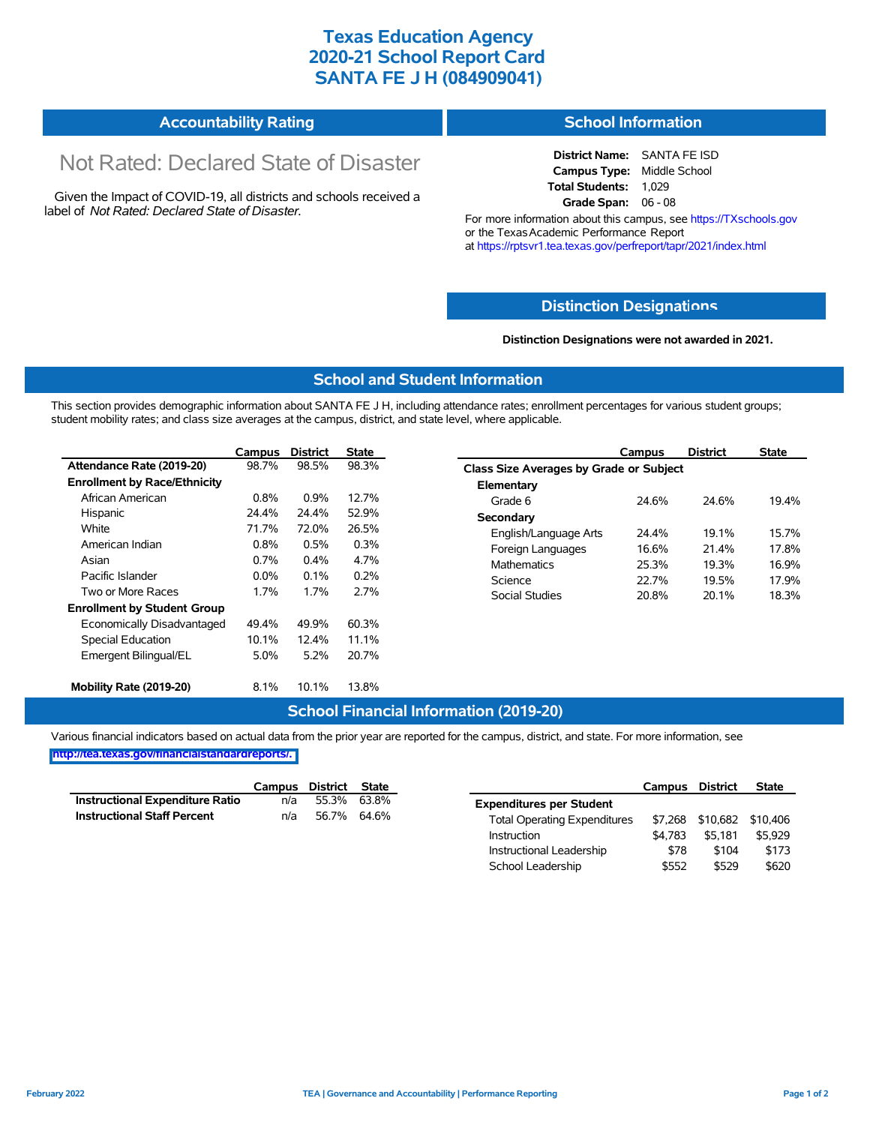# **Texas Education Agency 2020-21 School Report Card SANTA FE J H (084909041)**

#### **Accountability Rating School Information**

# Not Rated: Declared State of Disaster

Given the Impact of COVID-19, all districts and schools received a label of *Not Rated: Declared State of Disaster.*

**District Name:** SANTA FE ISD **Campus Type:** Middle School **Total Students:** 1,029 **Grade Span:** 06 - 08

For more information about this campus, see https://TXschools.gov or the Texas Academic Performance Report at https://rptsvr1.tea.texas.gov/perfreport/tapr/2021/index.html

### **Distinction Designat[ions](https://TXschools.gov)**

**Distinction Designations were not awarded in 2021.**

School Leadership  $$552$  \$529 \$620

#### **School and Student Information**

This section provides demographic information about SANTA FE J H, including attendance rates; enrollment percentages for various student groups; student mobility rates; and class size averages at the campus, district, and state level, where applicable.

|                                     | Campus                  | <b>District</b> | <b>State</b>                   | Campus                                  | <b>District</b> | <b>State</b> |  |  |  |  |
|-------------------------------------|-------------------------|-----------------|--------------------------------|-----------------------------------------|-----------------|--------------|--|--|--|--|
| Attendance Rate (2019-20)           | 98.7%                   | 98.5%           | 98.3%                          | Class Size Averages by Grade or Subject |                 |              |  |  |  |  |
| <b>Enrollment by Race/Ethnicity</b> |                         |                 |                                | Elementary                              |                 |              |  |  |  |  |
| African American                    | 0.8%                    | 0.9%            | 12.7%                          | Grade 6<br>24.6%                        | 24.6%           | 19.4%        |  |  |  |  |
| Hispanic                            | 24.4%                   | 24.4%           | 52.9%                          | Secondary                               |                 |              |  |  |  |  |
| White                               | 71.7%<br>72.0%<br>26.5% |                 | English/Language Arts<br>24.4% | 19.1%                                   | 15.7%           |              |  |  |  |  |
| American Indian                     | 0.8%                    | 0.5%            | 0.3%                           | 16.6%<br>Foreign Languages              | 21.4%           | 17.8%        |  |  |  |  |
| Asian                               | 0.7%<br>4.7%<br>0.4%    |                 |                                | <b>Mathematics</b><br>25.3%             | 19.3%           | 16.9%        |  |  |  |  |
| Pacific Islander                    | $0.0\%$                 | 0.1%            | 0.2%                           | Science<br>22.7%                        | 19.5%           | 17.9%        |  |  |  |  |
| Two or More Races                   | 1.7%                    | 1.7%            | 2.7%                           | <b>Social Studies</b><br>20.8%          | 20.1%           | 18.3%        |  |  |  |  |
| <b>Enrollment by Student Group</b>  |                         |                 |                                |                                         |                 |              |  |  |  |  |
| Economically Disadvantaged          | 49.4%                   | 49.9%           | 60.3%                          |                                         |                 |              |  |  |  |  |
| Special Education                   | 10.1%                   | 12.4%           | 11.1%                          |                                         |                 |              |  |  |  |  |
| Emergent Bilingual/EL               | 5.0%                    | 5.2%            | 20.7%                          |                                         |                 |              |  |  |  |  |
| Mobility Rate (2019-20)             | 8.1%                    | 10.1%           | 13.8%                          |                                         |                 |              |  |  |  |  |

#### **School Financial Information (2019-20)**

Various financial indicators based on actual data from the prior year are reported for the campus, district, and state. For more information, see

**[http://tea.texas.gov/financialstandardreports/.](http://tea.texas.gov/financialstandardreports/)**

|                                        | Campus | District State |             |                                     | Campus  | <b>District</b>  | <b>State</b> |
|----------------------------------------|--------|----------------|-------------|-------------------------------------|---------|------------------|--------------|
| <b>Instructional Expenditure Ratio</b> | n/a    | 55.3%          | 63.8%       | <b>Expenditures per Student</b>     |         |                  |              |
| <b>Instructional Staff Percent</b>     | n/a    |                | 56.7% 64.6% | <b>Total Operating Expenditures</b> |         | \$7,268 \$10,682 | \$10.406     |
|                                        |        |                |             | Instruction                         | \$4.783 | \$5.181          | \$5.929      |
|                                        |        |                |             | Instructional Leadership            | \$78    | \$104            | \$173        |